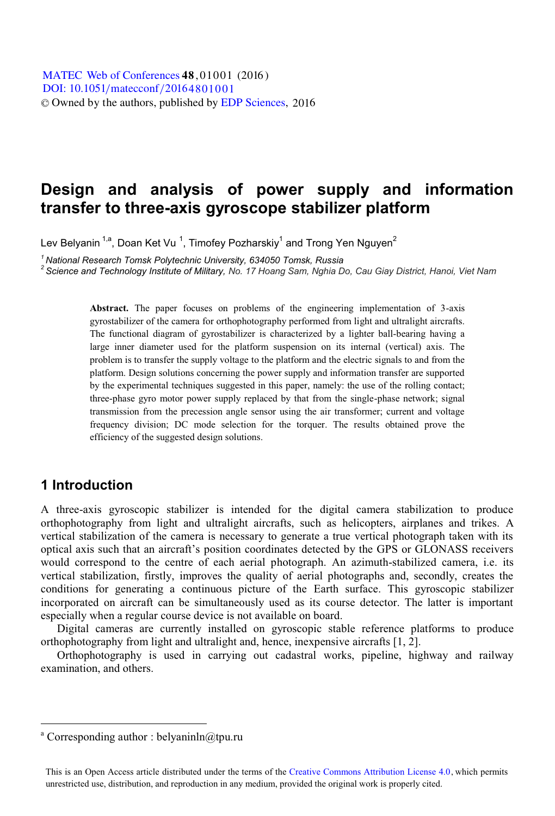# **Design and analysis of power supply and information transfer to three-axis gyroscope stabilizer platform**

Lev Belyanin  $^{1,a}$ , Doan Ket Vu  $^1$ , Timofey Pozharskiy $^1$  and Trong Yen Nguyen $^2$ 

*1 National Research Tomsk Polytechnic University, 634050 Tomsk, Russia* 

*2 Science and Technology Institute of Military, No. 17 Hoang Sam, Nghia Do, Cau Giay District, Hanoi, Viet Nam*

**Abstract.** The paper focuses on problems of the engineering implementation of 3-axis gyrostabilizer of the camera for orthophotography performed from light and ultralight aircrafts. The functional diagram of gyrostabilizer is characterized by a lighter ball-bearing having a large inner diameter used for the platform suspension on its internal (vertical) axis. The problem is to transfer the supply voltage to the platform and the electric signals to and from the platform. Design solutions concerning the power supply and information transfer are supported by the experimental techniques suggested in this paper, namely: the use of the rolling contact; three-phase gyro motor power supply replaced by that from the single-phase network; signal transmission from the precession angle sensor using the air transformer; current and voltage frequency division; DC mode selection for the torquer. The results obtained prove the efficiency of the suggested design solutions.

#### **1 Introduction**

 $\overline{a}$ 

A three-axis gyroscopic stabilizer is intended for the digital camera stabilization to produce orthophotography from light and ultralight aircrafts, such as helicopters, airplanes and trikes. A vertical stabilization of the camera is necessary to generate a true vertical photograph taken with its optical axis such that an aircraft's position coordinates detected by the GPS or GLONASS receivers would correspond to the centre of each aerial photograph. An azimuth-stabilized camera, i.e. its vertical stabilization, firstly, improves the quality of aerial photographs and, secondly, creates the conditions for generating a continuous picture of the Earth surface. This gyroscopic stabilizer incorporated on aircraft can be simultaneously used as its course detector. The latter is important especially when a regular course device is not available on board.

Digital cameras are currently installed on gyroscopic stable reference platforms to produce orthophotography from light and ultralight and, hence, inexpensive aircrafts [1, 2].

Orthophotography is used in carrying out cadastral works, pipeline, highway and railway examination, and others.

<sup>&</sup>lt;sup>a</sup> Corresponding author : belyaninln@tpu.ru

This is an Open Access article distributed under the terms of the Creative Commons Attribution License 4.0, which permits unrestricted use, distribution, and reproduction in any medium, provided the original work is properly cited.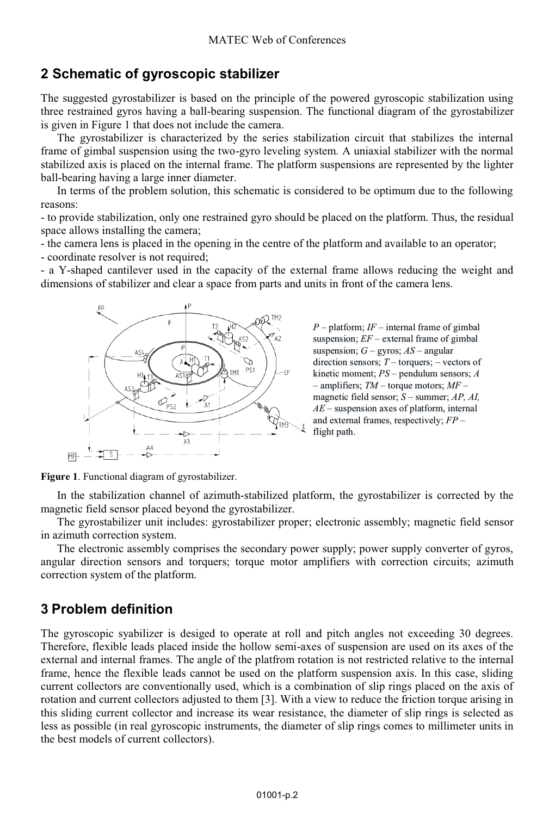## **2 Schematic of gyroscopic stabilizer**

The suggested gyrostabilizer is based on the principle of the powered gyroscopic stabilization using three restrained gyros having a ball-bearing suspension. The functional diagram of the gyrostabilizer is given in Figure 1 that does not include the camera.

The gyrostabilizer is characterized by the series stabilization circuit that stabilizes the internal frame of gimbal suspension using the two-gyro leveling system. A uniaxial stabilizer with the normal stabilized axis is placed on the internal frame. The platform suspensions are represented by the lighter ball-bearing having a large inner diameter.

In terms of the problem solution, this schematic is considered to be optimum due to the following reasons:

- to provide stabilization, only one restrained gyro should be placed on the platform. Thus, the residual space allows installing the camera;

- the camera lens is placed in the opening in the centre of the platform and available to an operator; - coordinate resolver is not required;

- a Y-shaped cantilever used in the capacity of the external frame allows reducing the weight and dimensions of stabilizer and clear a space from parts and units in front of the camera lens.



*P* – platform; *IF* – internal frame of gimbal suspension; *EF* – external frame of gimbal suspension; *G* – gyros; *AS* – angular direction sensors; *T* – torquers; – vectors of kinetic moment; *PS* – pendulum sensors; *A* – amplifiers; *TM* – torque motors; *MF* – magnetic field sensor; *S* – summer; *AP, AI, AE* – suspension axes of platform, internal and external frames, respectively; *FP* – flight path.

**Figure 1**. Functional diagram of gyrostabilizer.

In the stabilization channel of azimuth-stabilized platform, the gyrostabilizer is corrected by the magnetic field sensor placed beyond the gyrostabilizer.

The gyrostabilizer unit includes: gyrostabilizer proper; electronic assembly; magnetic field sensor in azimuth correction system.

The electronic assembly comprises the secondary power supply; power supply converter of gyros, angular direction sensors and torquers; torque motor amplifiers with correction circuits; azimuth correction system of the platform.

#### **3 Problem definition**

The gyroscopic syabilizer is desiged to operate at roll and pitch angles not exceeding 30 degrees. Therefore, flexible leads placed inside the hollow semi-axes of suspension are used on its axes of the external and internal frames. The angle of the platfrom rotation is not restricted relative to the internal frame, hence the flexible leads cannot be used on the platform suspension axis. In this case, sliding current collectors are conventionally used, which is a combination of slip rings placed on the axis of rotation and current collectors adjusted to them [3]. With a view to reduce the friction torque arising in this sliding current collector and increase its wear resistance, the diameter of slip rings is selected as less as possible (in real gyroscopic instruments, the diameter of slip rings comes to millimeter units in the best models of current collectors).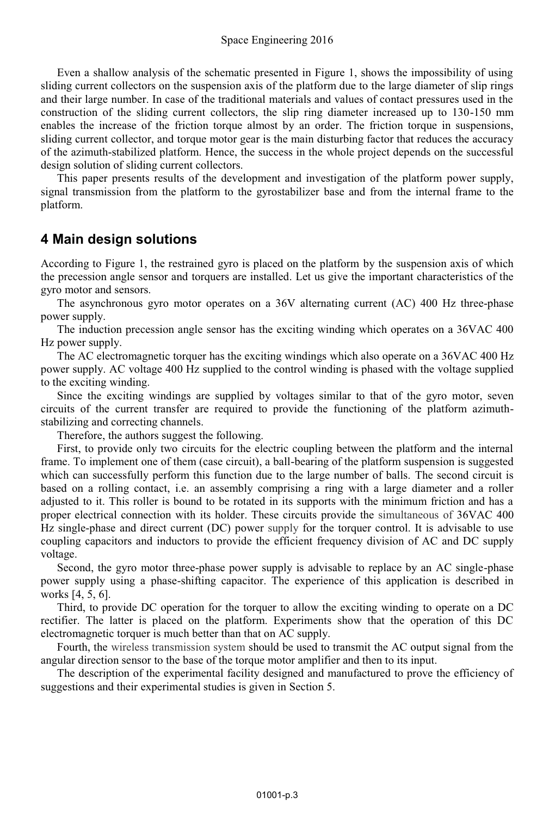Even a shallow analysis of the schematic presented in Figure 1, shows the impossibility of using sliding current collectors on the suspension axis of the platform due to the large diameter of slip rings and their large number. In case of the traditional materials and values of contact pressures used in the construction of the sliding current collectors, the slip ring diameter increased up to 130-150 mm enables the increase of the friction torque almost by an order. The friction torque in suspensions, sliding current collector, and torque motor gear is the main disturbing factor that reduces the accuracy of the azimuth-stabilized platform. Hence, the success in the whole project depends on the successful design solution of sliding current collectors.

This paper presents results of the development and investigation of the platform power supply, signal transmission from the platform to the gyrostabilizer base and from the internal frame to the platform.

#### **4 Main design solutions**

According to Figure 1, the restrained gyro is placed on the platform by the suspension axis of which the precession angle sensor and torquers are installed. Let us give the important characteristics of the gyro motor and sensors.

The asynchronous gyro motor operates on a 36V alternating current (AC) 400 Hz three-phase power supply.

The induction precession angle sensor has the exciting winding which operates on a 36VAC 400 Hz power supply.

The AC electromagnetic torquer has the exciting windings which also operate on a 36VAC 400 Hz power supply. AC voltage 400 Hz supplied to the control winding is phased with the voltage supplied to the exciting winding.

Since the exciting windings are supplied by voltages similar to that of the gyro motor, seven circuits of the current transfer are required to provide the functioning of the platform azimuthstabilizing and correcting channels.

Therefore, the authors suggest the following.

First, to provide only two circuits for the electric coupling between the platform and the internal frame. To implement one of them (case circuit), a ball-bearing of the platform suspension is suggested which can successfully perform this function due to the large number of balls. The second circuit is based on a rolling contact, i.e. an assembly comprising a ring with a large diameter and a roller adjusted to it. This roller is bound to be rotated in its supports with the minimum friction and has a proper electrical connection with its holder. These circuits provide the simultaneous of 36VAC 400 Hz single-phase and direct current (DC) power supply for the torquer control. It is advisable to use coupling capacitors and inductors to provide the efficient frequency division of AC and DC supply voltage.

Second, the gyro motor three-phase power supply is advisable to replace by an AC single-phase power supply using a phase-shifting capacitor. The experience of this application is described in works [4, 5, 6].

Third, to provide DC operation for the torquer to allow the exciting winding to operate on a DC rectifier. The latter is placed on the platform. Experiments show that the operation of this DC electromagnetic torquer is much better than that on AC supply.

Fourth, the wireless transmission system should be used to transmit the AC output signal from the angular direction sensor to the base of the torque motor amplifier and then to its input.

The description of the experimental facility designed and manufactured to prove the efficiency of suggestions and their experimental studies is given in Section 5.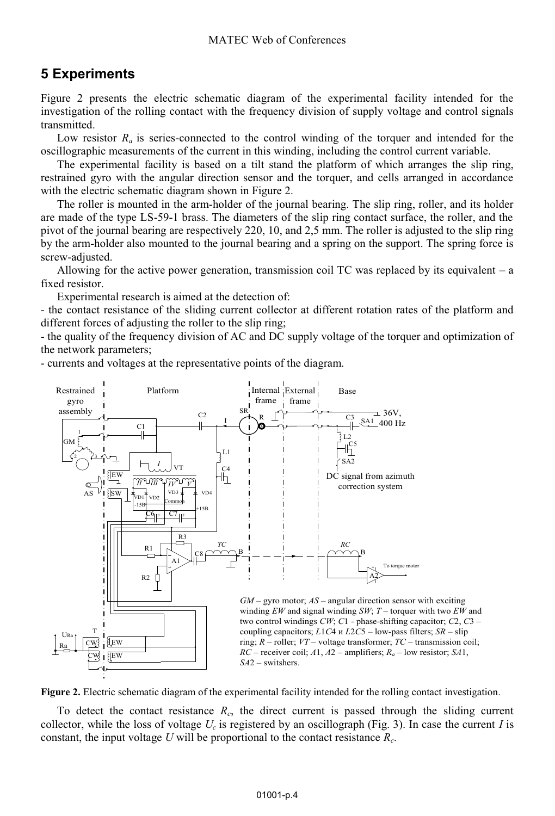### **5 Experiments**

Figure 2 presents the electric schematic diagram of the experimental facility intended for the investigation of the rolling contact with the frequency division of supply voltage and control signals transmitted.

Low resistor  $R_a$  is series-connected to the control winding of the torquer and intended for the oscillographic measurements of the current in this winding, including the control current variable.

The experimental facility is based on a tilt stand the platform of which arranges the slip ring, restrained gyro with the angular direction sensor and the torquer, and cells arranged in accordance with the electric schematic diagram shown in Figure 2.

The roller is mounted in the arm-holder of the journal bearing. The slip ring, roller, and its holder are made of the type LS-59-1 brass. The diameters of the slip ring contact surface, the roller, and the pivot of the journal bearing are respectively 220, 10, and 2,5 mm. The roller is adjusted to the slip ring by the arm-holder also mounted to the journal bearing and a spring on the support. The spring force is screw-adjusted.

Allowing for the active power generation, transmission coil TC was replaced by its equivalent – a fixed resistor.

Experimental research is aimed at the detection of:

- the contact resistance of the sliding current collector at different rotation rates of the platform and different forces of adjusting the roller to the slip ring;

- the quality of the frequency division of AC and DC supply voltage of the torquer and optimization of the network parameters;

- currents and voltages at the representative points of the diagram.



**Figure 2.** Electric schematic diagram of the experimental facility intended for the rolling contact investigation.

To detect the contact resistance *Rc*, the direct current is passed through the sliding current collector, while the loss of voltage  $U_c$  is registered by an oscillograph (Fig. 3). In case the current *I* is constant, the input voltage  $U$  will be proportional to the contact resistance  $R_c$ .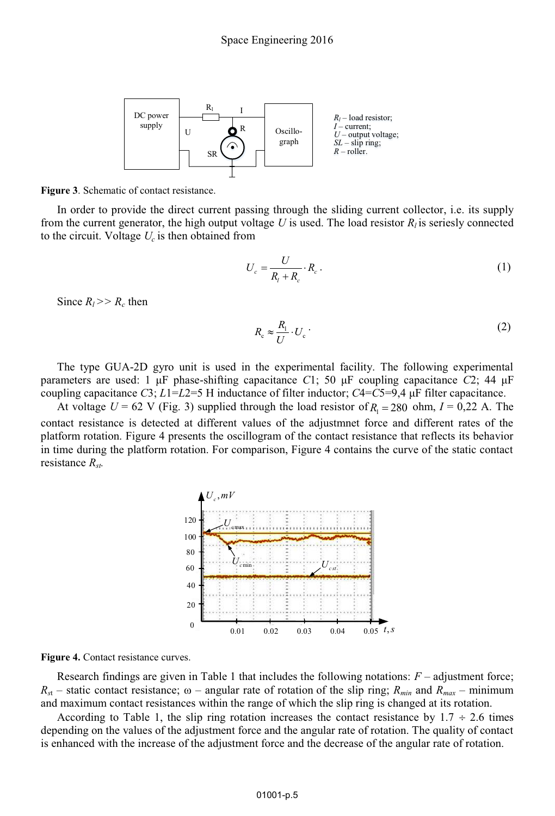

**Figure 3**. Schematic of contact resistance.

In order to provide the direct current passing through the sliding current collector, i.e. its supply from the current generator, the high output voltage U is used. The load resistor  $R_i$  is seriesly connected to the circuit. Voltage  $U_c$  is then obtained from

$$
U_c = \frac{U}{R_i + R_c} \cdot R_c \,. \tag{1}
$$

Since  $R_l \gg R_c$  then

$$
R_{\rm c} \approx \frac{R_{\rm l}}{U} \cdot U_{\rm c} \tag{2}
$$

The type GUA-2D gyro unit is used in the experimental facility. The following experimental parameters are used: 1 μF phase-shifting capacitance *C*1; 50 μF coupling capacitance *С*2; 44 μF coupling capacitance *С*3; *L*1=*L*2=5 H inductance of filter inductor; *С*4=*С*5=9,4 μF filter capacitance.

At voltage  $U = 62$  V (Fig. 3) supplied through the load resistor of  $R_1 = 280$  ohm,  $I = 0,22$  A. The contact resistance is detected at different values of the adjustmnet force and different rates of the platform rotation. Figure 4 presents the oscillogram of the contact resistance that reflects its behavior in time during the platform rotation. For comparison, Figure 4 contains the curve of the static contact resistance *Rst.*



**Figure 4.** Contact resistance curves.

Research findings are given in Table 1 that includes the following notations: *F* – adjustment force;  $R_{st}$  – static contact resistance;  $\omega$  – angular rate of rotation of the slip ring;  $R_{min}$  and  $R_{max}$  – minimum and maximum contact resistances within the range of which the slip ring is changed at its rotation.

According to Table 1, the slip ring rotation increases the contact resistance by  $1.7 \div 2.6$  times depending on the values of the adjustment force and the angular rate of rotation. The quality of contact is enhanced with the increase of the adjustment force and the decrease of the angular rate of rotation.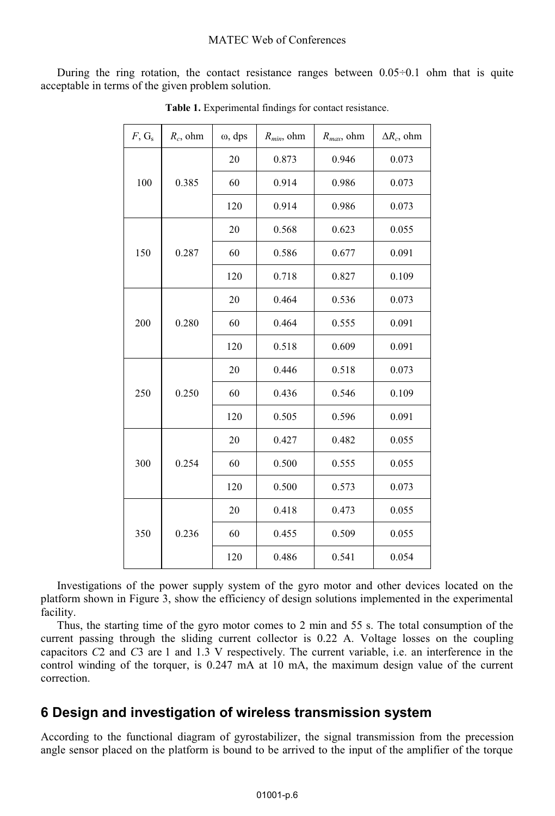During the ring rotation, the contact resistance ranges between  $0.05\div0.1$  ohm that is quite acceptable in terms of the given problem solution.

| $F, G_s$ | $R_c$ , ohm | ω, dps | $R_{min}$ , ohm | $R_{max}$ , ohm | $\Delta R_c$ , ohm |
|----------|-------------|--------|-----------------|-----------------|--------------------|
| 100      | 0.385       | 20     | 0.873           | 0.946           | 0.073              |
|          |             | 60     | 0.914           | 0.986           | 0.073              |
|          |             | 120    | 0.914           | 0.986           | 0.073              |
| 150      | 0.287       | 20     | 0.568           | 0.623           | 0.055              |
|          |             | 60     | 0.586           | 0.677           | 0.091              |
|          |             | 120    | 0.718           | 0.827           | 0.109              |
| 200      | 0.280       | 20     | 0.464           | 0.536           | 0.073              |
|          |             | 60     | 0.464           | 0.555           | 0.091              |
|          |             | 120    | 0.518           | 0.609           | 0.091              |
| 250      | 0.250       | 20     | 0.446           | 0.518           | 0.073              |
|          |             | 60     | 0.436           | 0.546           | 0.109              |
|          |             | 120    | 0.505           | 0.596           | 0.091              |
| 300      | 0.254       | 20     | 0.427           | 0.482           | 0.055              |
|          |             | 60     | 0.500           | 0.555           | 0.055              |
|          |             | 120    | 0.500           | 0.573           | 0.073              |
| 350      | 0.236       | 20     | 0.418           | 0.473           | 0.055              |
|          |             | 60     | 0.455           | 0.509           | 0.055              |
|          |             | 120    | 0.486           | 0.541           | 0.054              |

**Table 1.** Experimental findings for contact resistance.

Investigations of the power supply system of the gyro motor and other devices located on the platform shown in Figure 3, show the efficiency of design solutions implemented in the experimental facility.

Thus, the starting time of the gyro motor comes to 2 min and 55 s. The total consumption of the current passing through the sliding current collector is 0.22 А. Voltage losses on the coupling capacitors *С*2 and *С*3 are 1 and 1.3 V respectively. The current variable, i.e. an interference in the control winding of the torquer, is 0.247 mA at 10 mA, the maximum design value of the current correction.

### **6 Design and investigation of wireless transmission system**

According to the functional diagram of gyrostabilizer, the signal transmission from the precession angle sensor placed on the platform is bound to be arrived to the input of the amplifier of the torque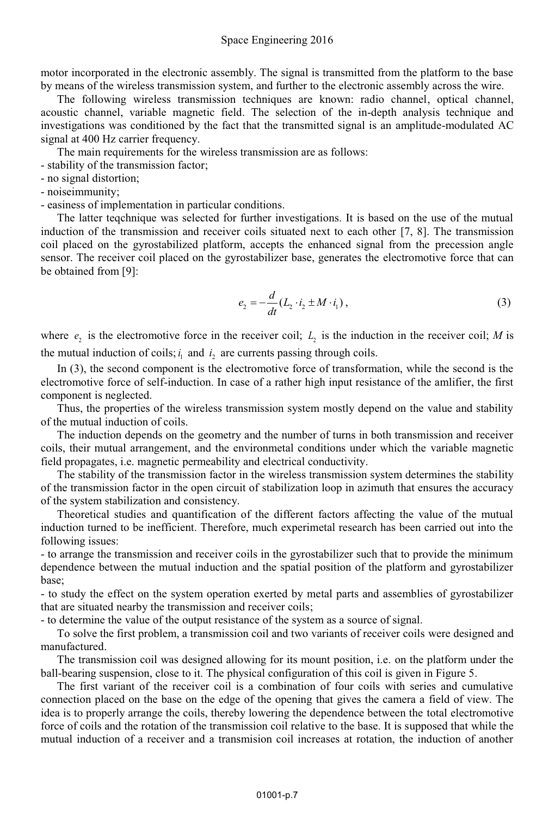motor incorporated in the electronic assembly. The signal is transmitted from the platform to the base by means of the wireless transmission system, and further to the electronic assembly across the wire.

The following wireless transmission techniques are known: radio channel, optical channel, acoustic channel, variable magnetic field. The selection of the in-depth analysis technique and investigations was conditioned by the fact that the transmitted signal is an amplitude-modulated AC signal at 400 Hz carrier frequency.

The main requirements for the wireless transmission are as follows:

- stability of the transmission factor;

- no signal distortion;

- noiseimmunity;

- easiness of implementation in particular conditions.

The latter teqchnique was selected for further investigations. It is based on the use of the mutual induction of the transmission and receiver coils situated next to each other [7, 8]. The transmission coil placed on the gyrostabilized platform, accepts the enhanced signal from the precession angle sensor. The receiver coil placed on the gyrostabilizer base, generates the electromotive force that can be obtained from [9]:

$$
e_2 = -\frac{d}{dt}(L_2 \cdot i_2 \pm M \cdot i_1), \qquad (3)
$$

where  $e<sub>2</sub>$  is the electromotive force in the receiver coil;  $L<sub>2</sub>$  is the induction in the receiver coil; *M* is the mutual induction of coils;  $i_1$  and  $i_2$  are currents passing through coils.

In (3), the second component is the electromotive force of transformation, while the second is the electromotive force of self-induction. In case of a rather high input resistance of the amlifier, the first component is neglected.

Thus, the properties of the wireless transmission system mostly depend on the value and stability of the mutual induction of coils.

The induction depends on the geometry and the number of turns in both transmission and receiver coils, their mutual arrangement, and the environmetal conditions under which the variable magnetic field propagates, i.e. magnetic permeability and electrical conductivity.

The stability of the transmission factor in the wireless transmission system determines the stability of the transmission factor in the open circuit of stabilization loop in azimuth that ensures the accuracy of the system stabilization and consistency.

Theoretical studies and quantification of the different factors affecting the value of the mutual induction turned to be inefficient. Therefore, much experimetal research has been carried out into the following issues:

- to arrange the transmission and receiver coils in the gyrostabilizer such that to provide the minimum dependence between the mutual induction and the spatial position of the platform and gyrostabilizer base;

- to study the effect on the system operation exerted by metal parts and assemblies of gyrostabilizer that are situated nearby the transmission and receiver coils;

- to determine the value of the output resistance of the system as a source of signal.

To solve the first problem, a transmission coil and two variants of receiver coils were designed and manufactured.

The transmission coil was designed allowing for its mount position, i.e. on the platform under the ball-bearing suspension, close to it. The physical configuration of this coil is given in Figure 5.

The first variant of the receiver coil is a combination of four coils with series and cumulative connection placed on the base on the edge of the opening that gives the camera a field of view. The idea is to properly arrange the coils, thereby lowering the dependence between the total electromotive force of coils and the rotation of the transmission coil relative to the base. It is supposed that while the mutual induction of a receiver and a transmision coil increases at rotation, the induction of another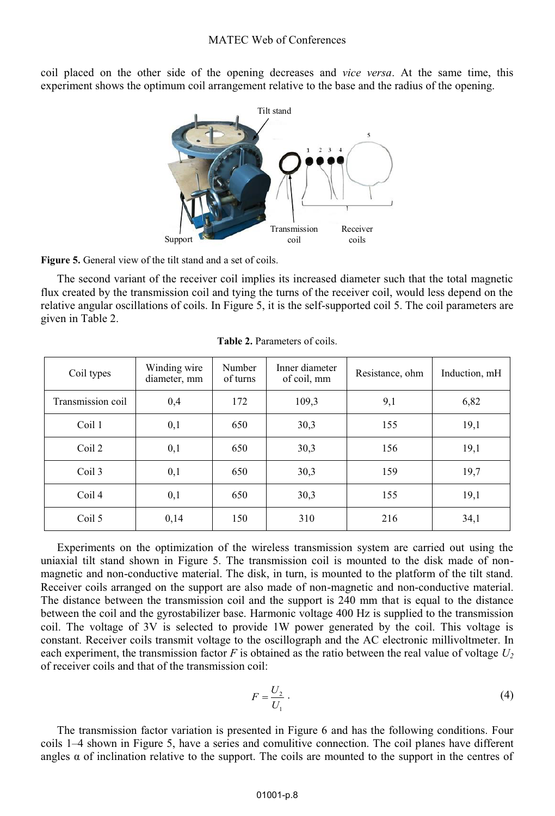coil placed on the other side of the opening decreases and *vice versa*. At the same time, this experiment shows the optimum coil arrangement relative to the base and the radius of the opening.



**Figure 5.** General view of the tilt stand and a set of coils.

The second variant of the receiver coil implies its increased diameter such that the total magnetic flux created by the transmission coil and tying the turns of the receiver coil, would less depend on the relative angular oscillations of coils. In Figure 5, it is the self-supported coil 5. The coil parameters are given in Table 2.

| Coil types        | Winding wire<br>diameter, mm | Number<br>of turns | Inner diameter<br>of coil, mm | Resistance, ohm | Induction, mH |
|-------------------|------------------------------|--------------------|-------------------------------|-----------------|---------------|
| Transmission coil | 0,4                          | 172                | 109,3                         | 9,1             | 6,82          |
| Coil 1            | 0,1                          | 650                | 30,3                          | 155             | 19,1          |
| Coil 2            | 0,1                          | 650                | 30,3                          | 156             | 19,1          |
| Coil 3            | 0,1                          | 650                | 30,3                          | 159             | 19,7          |
| Coil 4            | 0,1                          | 650                | 30,3                          | 155             | 19,1          |
| Coil 5            | 0,14                         | 150                | 310                           | 216             | 34,1          |

**Table 2.** Parameters of coils.

Experiments on the optimization of the wireless transmission system are carried out using the uniaxial tilt stand shown in Figure 5. The transmission coil is mounted to the disk made of nonmagnetic and non-conductive material. The disk, in turn, is mounted to the platform of the tilt stand. Receiver coils arranged on the support are also made of non-magnetic and non-conductive material. The distance between the transmission coil and the support is 240 mm that is equal to the distance between the coil and the gyrostabilizer base. Harmonic voltage 400 Hz is supplied to the transmission coil. The voltage of 3V is selected to provide 1W power generated by the coil. This voltage is constant. Receiver coils transmit voltage to the oscillograph and the AC electronic millivoltmeter. In each experiment, the transmission factor  $F$  is obtained as the ratio between the real value of voltage  $U_2$ of receiver coils and that of the transmission coil:

$$
F = \frac{U_2}{U_1} \,. \tag{4}
$$

The transmission factor variation is presented in Figure 6 and has the following conditions. Four coils 1–4 shown in Figure 5, have a series and comulitive connection. The coil planes have different angles  $\alpha$  of inclination relative to the support. The coils are mounted to the support in the centres of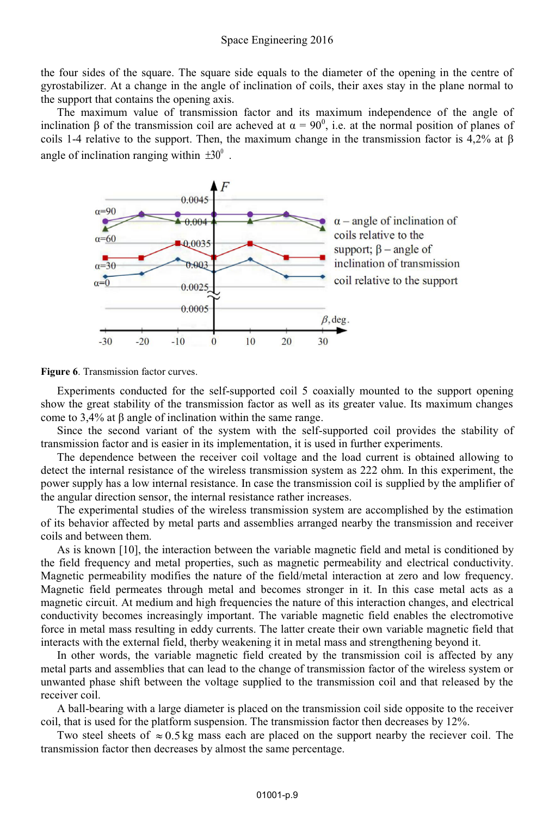the four sides of the square. The square side equals to the diameter of the opening in the centre of gyrostabilizer. At a change in the angle of inclination of coils, their axes stay in the plane normal to the support that contains the opening axis.

The maximum value of transmission factor and its maximum independence of the angle of inclination  $\beta$  of the transmission coil are acheved at  $\alpha = 90^{\circ}$ , i.e. at the normal position of planes of coils 1-4 relative to the support. Then, the maximum change in the transmission factor is 4,2% at  $\beta$ angle of inclination ranging within  $\pm 30^\circ$ .



**Figure 6**. Transmission factor curves.

Experiments conducted for the self-supported coil 5 coaxially mounted to the support opening show the great stability of the transmission factor as well as its greater value. Its maximum changes come to 3,4% at β angle of inclination within the same range.

Since the second variant of the system with the self-supported coil provides the stability of transmission factor and is easier in its implementation, it is used in further experiments.

The dependence between the receiver coil voltage and the load current is obtained allowing to detect the internal resistance of the wireless transmission system as 222 ohm. In this experiment, the power supply has a low internal resistance. In case the transmission coil is supplied by the amplifier of the angular direction sensor, the internal resistance rather increases.

The experimental studies of the wireless transmission system are accomplished by the estimation of its behavior affected by metal parts and assemblies arranged nearby the transmission and receiver coils and between them.

As is known [10], the interaction between the variable magnetic field and metal is conditioned by the field frequency and metal properties, such as magnetic permeability and electrical conductivity. Magnetic permeability modifies the nature of the field/metal interaction at zero and low frequency. Magnetic field permeates through metal and becomes stronger in it. In this case metal acts as a magnetic circuit. At medium and high frequencies the nature of this interaction changes, and electrical conductivity becomes increasingly important. The variable magnetic field enables the electromotive force in metal mass resulting in eddy currents. The latter create their own variable magnetic field that interacts with the external field, therby weakening it in metal mass and strengthening beyond it.

In other words, the variable magnetic field created by the transmission coil is affected by any metal parts and assemblies that can lead to the change of transmission factor of the wireless system or unwanted phase shift between the voltage supplied to the transmission coil and that released by the receiver coil.

A ball-bearing with a large diameter is placed on the transmission coil side opposite to the receiver coil, that is used for the platform suspension. The transmission factor then decreases by 12%.

Two steel sheets of  $\approx 0.5 \text{ kg}$  mass each are placed on the support nearby the reciever coil. The transmission factor then decreases by almost the same percentage.